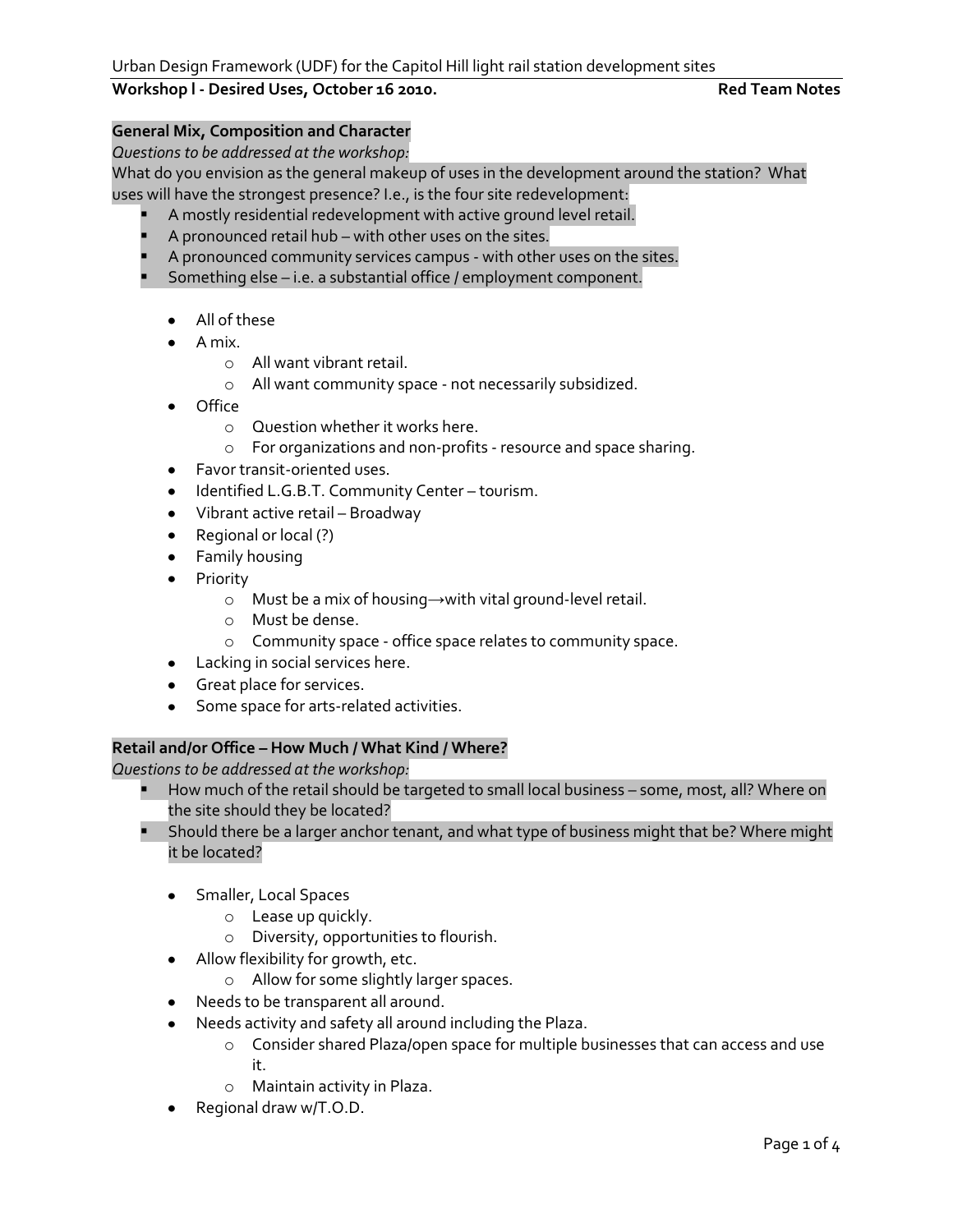# Workshop *l* - Desired Uses, October 16 2010. **Red Team Notes** Red Team Notes

# **General Mix, Composition and Character**

*Questions to be addressed at the workshop:*

What do you envision as the general makeup of uses in the development around the station? What uses will have the strongest presence? I.e., is the four site redevelopment:

- A mostly residential redevelopment with active ground level retail.
- A pronounced retail hub with other uses on the sites.
- A pronounced community services campus with other uses on the sites.
- **Something else i.e. a substantial office / employment component.** 
	- All of these
	- A mix.
		- o All want vibrant retail.
		- o All want community space not necessarily subsidized.
	- Office  $\bullet$ 
		- o Question whether it works here.
		- o For organizations and non-profits resource and space sharing.
	- Favor transit-oriented uses.
	- $\bullet$  Identified L.G.B.T. Community Center tourism.
	- Vibrant active retail Broadway
	- Regional or local (?)
	- **•** Family housing
	- Priority
		- o Must be a mix of housing→with vital ground-level retail.
		- o Must be dense.
		- o Community space office space relates to community space.
	- Lacking in social services here.
	- **Great place for services.**
	- **Some space for arts-related activities.**

### **Retail and/or Office – How Much / What Kind / Where?**

*Questions to be addressed at the workshop:*

- How much of the retail should be targeted to small local business some, most, all? Where on the site should they be located?
- **Should there be a larger anchor tenant, and what type of business might that be? Where might** it be located?
	- **•** Smaller, Local Spaces
		- o Lease up quickly.
		- o Diversity, opportunities to flourish.
	- Allow flexibility for growth, etc.
		- o Allow for some slightly larger spaces.
	- Needs to be transparent all around.  $\bullet$
	- Needs activity and safety all around including the Plaza.
		- o Consider shared Plaza/open space for multiple businesses that can access and use it.
		- o Maintain activity in Plaza.
	- Regional draw w/T.O.D.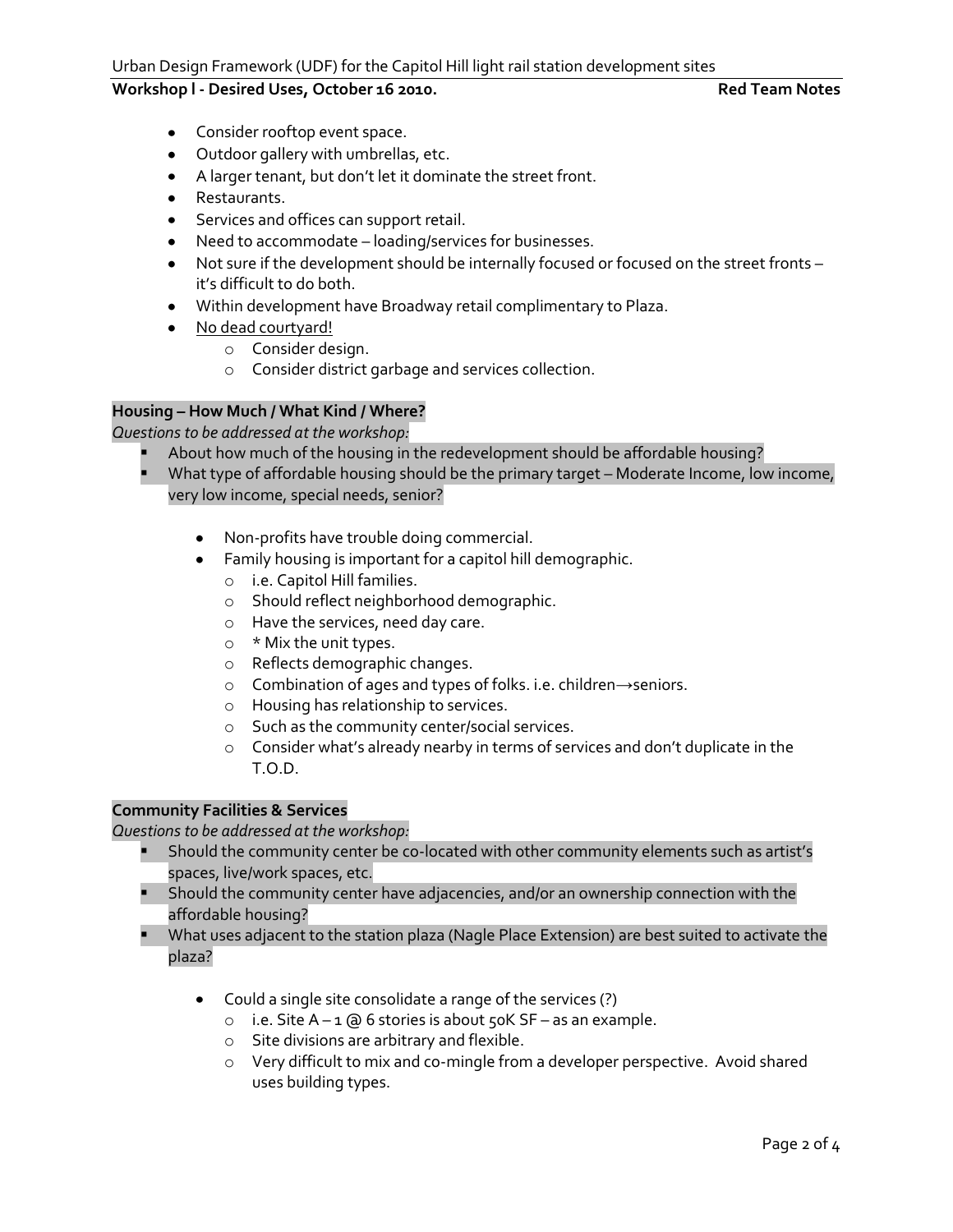# **Workshop l - Desired Uses, October 16 2010. Red Team Notes**

- Consider rooftop event space.
- Outdoor gallery with umbrellas, etc.
- A larger tenant, but don't let it dominate the street front.
- **•** Restaurants.
- **•** Services and offices can support retail.
- Need to accommodate loading/services for businesses.
- Not sure if the development should be internally focused or focused on the street fronts it's difficult to do both.
- Within development have Broadway retail complimentary to Plaza.
- No dead courtyard!
	- o Consider design.
	- o Consider district garbage and services collection.

### **Housing – How Much / What Kind / Where?**

*Questions to be addressed at the workshop:*

- About how much of the housing in the redevelopment should be affordable housing?
- What type of affordable housing should be the primary target Moderate Income, low income, very low income, special needs, senior?
	- Non-profits have trouble doing commercial.
	- Family housing is important for a capitol hill demographic.
		- o i.e. Capitol Hill families.
		- o Should reflect neighborhood demographic.
		- o Have the services, need day care.
		- $\circ$  \* Mix the unit types.
		- o Reflects demographic changes.
		- o Combination of ages and types of folks. i.e. children→seniors.
		- o Housing has relationship to services.
		- o Such as the community center/social services.
		- o Consider what's already nearby in terms of services and don't duplicate in the T.O.D.

### **Community Facilities & Services**

*Questions to be addressed at the workshop:*

- Should the community center be co-located with other community elements such as artist's spaces, live/work spaces, etc.
- Should the community center have adjacencies, and/or an ownership connection with the affordable housing?
- **What uses adjacent to the station plaza (Nagle Place Extension) are best suited to activate the** plaza?
	- Could a single site consolidate a range of the services (?)
		- $\circ$  i.e. Site A 1 @ 6 stories is about 50K SF as an example.
		- o Site divisions are arbitrary and flexible.
		- o Very difficult to mix and co-mingle from a developer perspective. Avoid shared uses building types.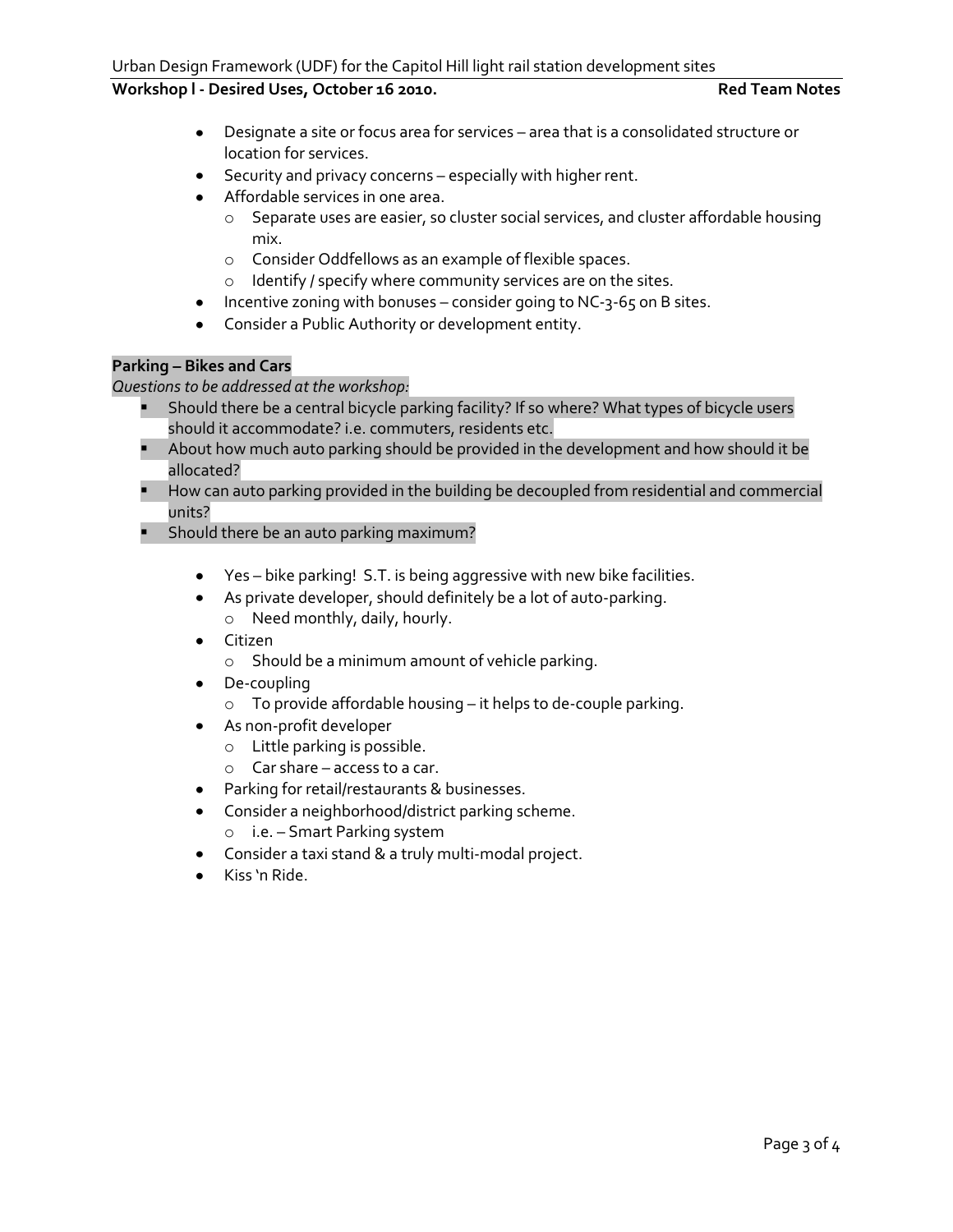# Workshop I - Desired Uses, October 16 2010. **Red Team Notes** Red Team Notes

- Designate a site or focus area for services area that is a consolidated structure or location for services.
- Security and privacy concerns especially with higher rent.
- Affordable services in one area.
	- o Separate uses are easier, so cluster social services, and cluster affordable housing mix.
	- o Consider Oddfellows as an example of flexible spaces.
	- o Identify / specify where community services are on the sites.
- $\bullet$  Incentive zoning with bonuses consider going to NC-3-65 on B sites.
- Consider a Public Authority or development entity.

# **Parking – Bikes and Cars**

*Questions to be addressed at the workshop:*

- Should there be a central bicycle parking facility? If so where? What types of bicycle users should it accommodate? i.e. commuters, residents etc.
- **About how much auto parking should be provided in the development and how should it be** allocated?
- **How can auto parking provided in the building be decoupled from residential and commercial** units?
- **Should there be an auto parking maximum?** 
	- Yes bike parking! S.T. is being aggressive with new bike facilities.
	- As private developer, should definitely be a lot of auto-parking. o Need monthly, daily, hourly.
	- Citizen
		- o Should be a minimum amount of vehicle parking.
	- De-coupling
		- o To provide affordable housing it helps to de-couple parking.
	- As non-profit developer
		- o Little parking is possible.
		- o Car share access to a car.
	- Parking for retail/restaurants & businesses.
	- Consider a neighborhood/district parking scheme.
		- o i.e. Smart Parking system
	- Consider a taxi stand & a truly multi-modal project.
	- Kiss 'n Ride.